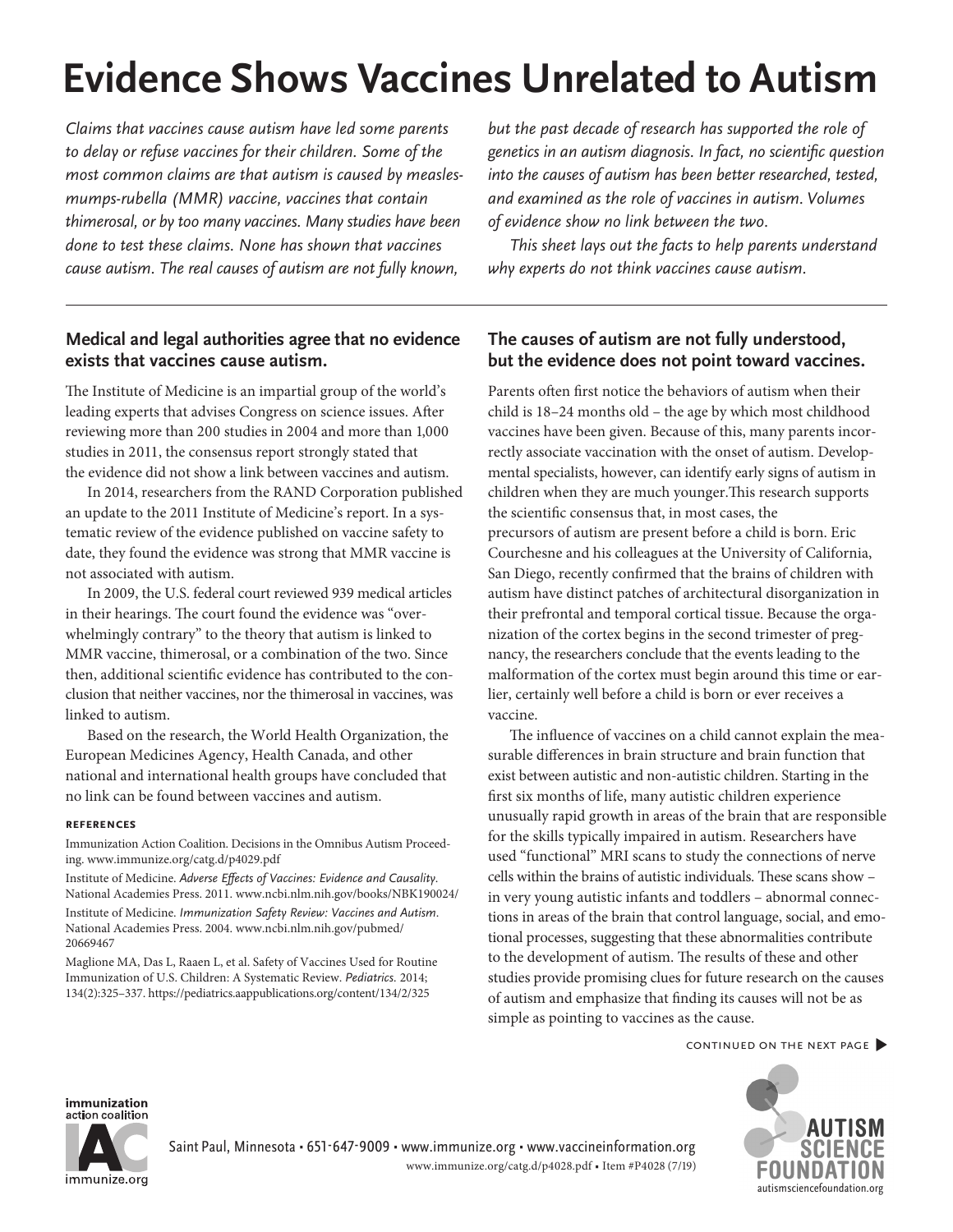# **Evidence Shows Vaccines Unrelated to Autism**

Claims that vaccines cause autism have led some parents to delay or refuse vaccines for their children. Some of the most common claims are that autism is caused by measlesmumps-rubella (MMR) vaccine, vaccines that contain thimerosal, or by too many vaccines. Many studies have been done to test these claims. None has shown that vaccines cause autism. The real causes of autism are not fully known,

# **Medical and legal authorities agree that no evidence exists that vaccines cause autism.**

The Institute of Medicine is an impartial group of the world's leading experts that advises Congress on science issues. After reviewing more than 200 studies in 2004 and more than 1,000 studies in 2011, the consensus report strongly stated that the evidence did not show a link between vaccines and autism.

In 2014, researchers from the RAND Corporation published an update to the 2011 Institute of Medicine's report. In a systematic review of the evidence published on vaccine safety to date, they found the evidence was strong that MMR vaccine is not associated with autism.

In 2009, the U.S. federal court reviewed 939 medical articles in their hearings. The court found the evidence was "overwhelmingly contrary" to the theory that autism is linked to MMR vaccine, thimerosal, or a combination of the two. Since then, additional scientific evidence has contributed to the conclusion that neither vaccines, nor the thimerosal in vaccines, was linked to autism.

Based on the research, the World Health Organization, the European Medicines Agency, Health Canada, and other national and international health groups have concluded that no link can be found between vaccines and autism.

## **references**

Immunization Action Coalition. Decisions in the Omnibus Autism Proceeding. [www.immunize.org/catg.d/p4029.pdf](http://www.immunize.org/catg.d/p4029.pdf)

Institute of Medicine. Adverse Effects of Vaccines: Evidence and Causality. National Academies Press. 2011. [www.ncbi.nlm.nih.gov/books/NBK190024/](http://www.ncbi.nlm.nih.gov/books/NBK190024/) Institute of Medicine. Immunization Safety Review: Vaccines and Autism. National Academies Press. 2004. [www.ncbi.nlm.nih.gov/pubmed/](http://www.ncbi.nlm.nih.gov/pubmed/20669467) 20669467

Maglione MA, Das L, Raaen L, et al. Safety of Vaccines Used for Routine Immunization of U.S. Children: A Systematic Review. Pediatrics. 2014; 134(2):325–337.<https://pediatrics.aappublications.org/content/134/2/325>

but the past decade of research has supported the role of genetics in an autism diagnosis. In fact, no scientific question into the causes of autism has been better researched, tested, and examined as the role of vaccines in autism. Volumes of evidence show no link between the two.

This sheet lays out the facts to help parents understand why experts do not think vaccines cause autism.

# **The causes of autism are not fully understood, but the evidence does not point toward vaccines.**

Parents often first notice the behaviors of autism when their child is 18–24 months old – the age by which most childhood vaccines have been given. Because of this, many parents incorrectly associate vaccination with the onset of autism. Developmental specialists, however, can identify early signs of autism in children when they are much younger.This research supports the scientific consensus that, in most cases, the precursors of autism are present before a child is born. Eric Courchesne and his colleagues at the University of California, San Diego, recently confirmed that the brains of children with autism have distinct patches of architectural disorganization in their prefrontal and temporal cortical tissue. Because the organization of the cortex begins in the second trimester of pregnancy, the researchers conclude that the events leading to the malformation of the cortex must begin around this time or earlier, certainly well before a child is born or ever receives a vaccine.

The influence of vaccines on a child cannot explain the measurable differences in brain structure and brain function that exist between autistic and non-autistic children. Starting in the first six months of life, many autistic children experience unusually rapid growth in areas of the brain that are responsible for the skills typically impaired in autism. Researchers have used "functional" MRI scans to study the connections of nerve cells within the brains of autistic individuals. These scans show – in very young autistic infants and toddlers – abnormal connections in areas of the brain that control language, social, and emotional processes, suggesting that these abnormalities contribute to the development of autism. The results of these and other studies provide promising clues for future research on the causes of autism and emphasize that finding its causes will not be as simple as pointing to vaccines as the cause.

continued on the next page�



immunization action coalition



Saint Paul, Minnesota • 651-647-9009 • [www.immunize.org](http://www.immunize.org) • [www.vaccineinformation.org](http://www.vaccineinformation.org) [www.immunize.org/catg.d/p4028.pdf](http://www.immunize.org/catg.d/p4028.pdf) • Item #P4028 (7/19)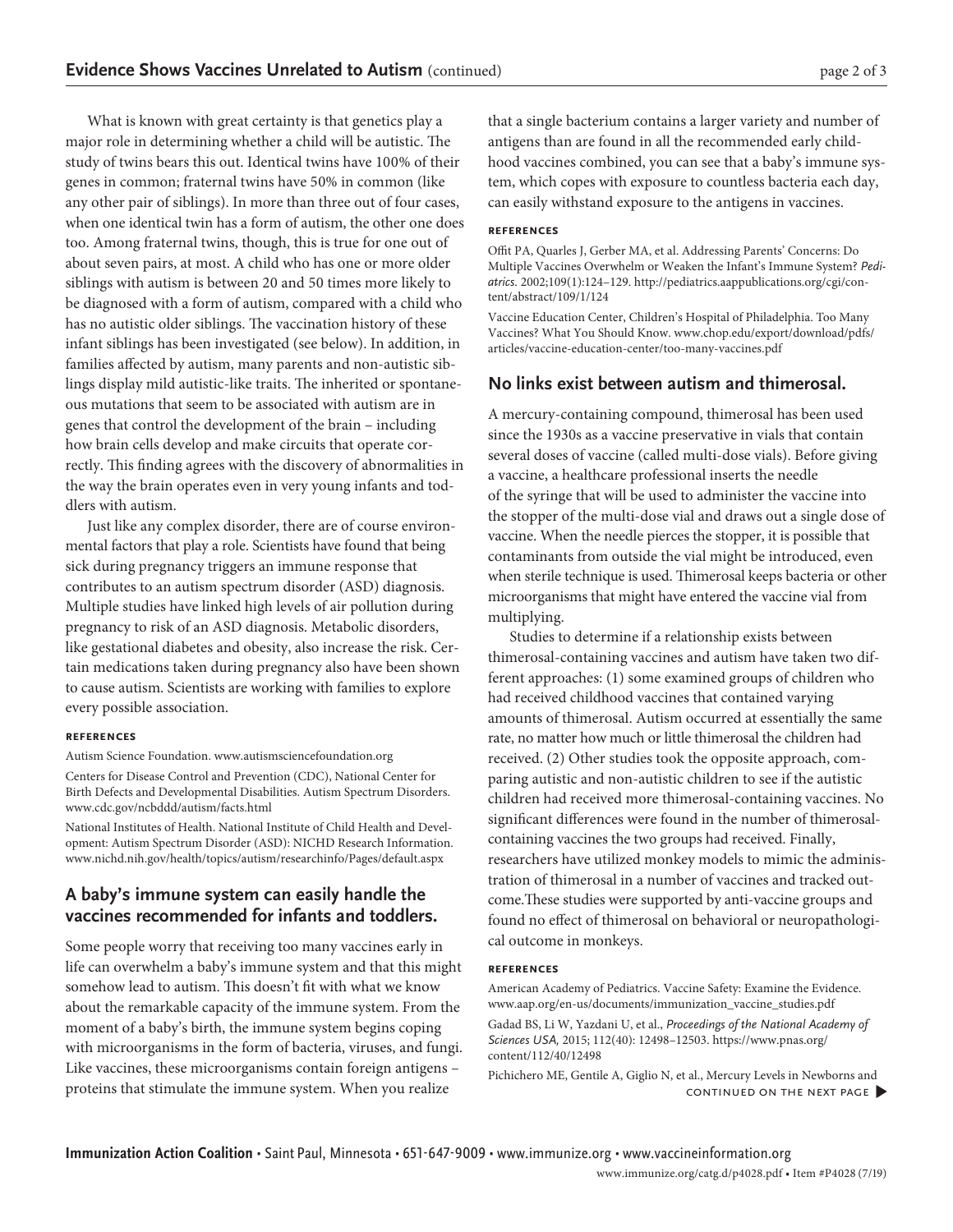What is known with great certainty is that genetics play a major role in determining whether a child will be autistic. The study of twins bears this out. Identical twins have 100% of their genes in common; fraternal twins have 50% in common (like any other pair of siblings). In more than three out of four cases, when one identical twin has a form of autism, the other one does too. Among fraternal twins, though, this is true for one out of about seven pairs, at most. A child who has one or more older siblings with autism is between 20 and 50 times more likely to be diagnosed with a form of autism, compared with a child who has no autistic older siblings. The vaccination history of these infant siblings has been investigated (see below). In addition, in families affected by autism, many parents and non-autistic siblings display mild autistic-like traits. The inherited or spontaneous mutations that seem to be associated with autism are in genes that control the development of the brain – including how brain cells develop and make circuits that operate correctly. This finding agrees with the discovery of abnormalities in the way the brain operates even in very young infants and toddlers with autism.

Just like any complex disorder, there are of course environmental factors that play a role. Scientists have found that being sick during pregnancy triggers an immune response that contributes to an autism spectrum disorder (ASD) diagnosis. Multiple studies have linked high levels of air pollution during pregnancy to risk of an ASD diagnosis. Metabolic disorders, like gestational diabetes and obesity, also increase the risk. Certain medications taken during pregnancy also have been shown to cause autism. Scientists are working with families to explore every possible association.

#### **references**

Autism Science Foundation. [www.autismsciencefoundation.org](http://www.autismsciencefoundation.org)

Centers for Disease Control and Prevention (CDC), National Center for Birth Defects and Developmental Disabilities. Autism Spectrum Disorders. [www.cdc.gov/ncbddd/autism/facts.html](http://www.cdc.gov/ncbddd/autism/facts.html)

National Institutes of Health. National Institute of Child Health and Development: Autism Spectrum Disorder (ASD): NICHD Research Information. [www.nichd.nih.gov/health/topics/autism/researchinfo/Pages/default.aspx](http://www.nichd.nih.gov/health/topics/autism/researchinfo/Pages/default.aspx)

# **A baby's immune system can easily handle the vaccines recommended for infants and toddlers.**

Some people worry that receiving too many vaccines early in life can overwhelm a baby's immune system and that this might somehow lead to autism. This doesn't fit with what we know about the remarkable capacity of the immune system. From the moment of a baby's birth, the immune system begins coping with microorganisms in the form of bacteria, viruses, and fungi. Like vaccines, these microorganisms contain foreign antigens – proteins that stimulate the immune system. When you realize

that a single bacterium contains a larger variety and number of antigens than are found in all the recommended early childhood vaccines combined, you can see that a baby's immune system, which copes with exposure to countless bacteria each day, can easily withstand exposure to the antigens in vaccines.

### **references**

Offit PA, Quarles J, Gerber MA, et al. Addressing Parents' Concerns: Do Multiple Vaccines Overwhelm or Weaken the Infant's Immune System? Pediatrics. 2002;109(1):124–129. [http://pediatrics.aappublications.org/cgi/con](http://pediatrics.aappublications.org/cgi/content/abstract/109/1/124)[tent/abstract/109/1/124](http://pediatrics.aappublications.org/cgi/content/abstract/109/1/124)

Vaccine Education Center, Children's Hospital of Philadelphia. Too Many Vaccines? What You Should Know. [www.chop.edu/export/download/pdfs/](http://www.chop.edu/export/download/pdfs/articles/vaccine-education-center/too-many-vaccines.pdf) [articles/vaccine-education-center/too-many-vaccines.pdf](http://www.chop.edu/export/download/pdfs/articles/vaccine-education-center/too-many-vaccines.pdf)

## **No links exist between autism and thimerosal.**

A mercury-containing compound, thimerosal has been used since the 1930s as a vaccine preservative in vials that contain several doses of vaccine (called multi-dose vials). Before giving a vaccine, a healthcare professional inserts the needle of the syringe that will be used to administer the vaccine into the stopper of the multi-dose vial and draws out a single dose of vaccine. When the needle pierces the stopper, it is possible that contaminants from outside the vial might be introduced, even when sterile technique is used. Thimerosal keeps bacteria or other microorganisms that might have entered the vaccine vial from multiplying.

Studies to determine if a relationship exists between thimerosal-containing vaccines and autism have taken two different approaches: (1) some examined groups of children who had received childhood vaccines that contained varying amounts of thimerosal. Autism occurred at essentially the same rate, no matter how much or little thimerosal the children had received. (2) Other studies took the opposite approach, comparing autistic and non-autistic children to see if the autistic children had received more thimerosal-containing vaccines. No significant differences were found in the number of thimerosalcontaining vaccines the two groups had received. Finally, researchers have utilized monkey models to mimic the administration of thimerosal in a number of vaccines and tracked outcome.These studies were supported by anti-vaccine groups and found no effect of thimerosal on behavioral or neuropathological outcome in monkeys.

#### **references**

American Academy of Pediatrics. Vaccine Safety: Examine the Evidence. [www.aap.org/en-us/documents/immunization\\_vaccine\\_studies.pdf](http://www.aap.org/en-us/documents/immunization_vaccine_studies.pdf)

Gadad BS, Li W, Yazdani U, et al., Proceedings of the National Academy of Sciences USA, 2015; 112(40): 12498–12503. [https://www.pnas.org/](https://www.pnas.org/content/112/40/12498) [content/112/40/12498](https://www.pnas.org/content/112/40/12498)

Pichichero ME, Gentile A, Giglio N, et al., Mercury Levels in Newborns and continued on the next page�